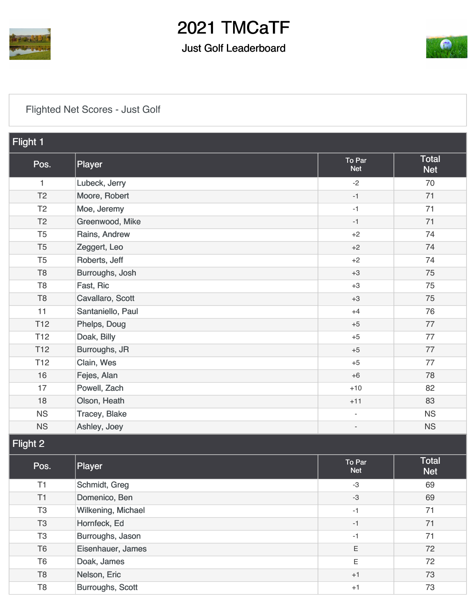

### Just Golf Leaderboard



[Flighted Net Scores - Just Golf](https://cdn2.golfgenius.com/v2tournaments/7506221076628650557?called_from=&round_index=13)

| Flight 1        |                    |                          |                            |  |
|-----------------|--------------------|--------------------------|----------------------------|--|
| Pos.            | Player             | To Par<br><b>Net</b>     | <b>Total</b><br><b>Net</b> |  |
| 1               | Lubeck, Jerry      | $-2$                     | 70                         |  |
| T <sub>2</sub>  | Moore, Robert      | $-1$                     | 71                         |  |
| T <sub>2</sub>  | Moe, Jeremy        | $-1$                     | 71                         |  |
| T <sub>2</sub>  | Greenwood, Mike    | $-1$                     | 71                         |  |
| T <sub>5</sub>  | Rains, Andrew      | $+2$                     | 74                         |  |
| T <sub>5</sub>  | Zeggert, Leo       | $+2$                     | 74                         |  |
| T <sub>5</sub>  | Roberts, Jeff      | $+2$                     | 74                         |  |
| T <sub>8</sub>  | Burroughs, Josh    | $+3$                     | 75                         |  |
| T <sub>8</sub>  | Fast, Ric          | $+3$                     | 75                         |  |
| T <sub>8</sub>  | Cavallaro, Scott   | $+3$                     | 75                         |  |
| 11              | Santaniello, Paul  | $+4$                     | 76                         |  |
| T <sub>12</sub> | Phelps, Doug       | $+5$                     | 77                         |  |
| T <sub>12</sub> | Doak, Billy        | $+5$                     | 77                         |  |
| <b>T12</b>      | Burroughs, JR      | $+5$                     | 77                         |  |
| T <sub>12</sub> | Clain, Wes         | $+5$                     | 77                         |  |
| 16              | Fejes, Alan        | $+6$                     | 78                         |  |
| 17              | Powell, Zach       | $+10$                    | 82                         |  |
| 18              | Olson, Heath       | $+11$                    | 83                         |  |
| <b>NS</b>       | Tracey, Blake      | $\overline{\phantom{a}}$ | <b>NS</b>                  |  |
| <b>NS</b>       | Ashley, Joey       | $\overline{\phantom{a}}$ | <b>NS</b>                  |  |
| Flight 2        |                    |                          |                            |  |
| Pos.            | Player             | To Par<br><b>Net</b>     | Total<br><b>Net</b>        |  |
| T1              | Schmidt, Greg      | $-3$                     | 69                         |  |
| T1              | Domenico, Ben      | $-3$                     | 69                         |  |
| T <sub>3</sub>  | Wilkening, Michael | $-1$                     | 71                         |  |
| T <sub>3</sub>  | Hornfeck, Ed       | $-1$                     | 71                         |  |
| T <sub>3</sub>  | Burroughs, Jason   | $-1$                     | 71                         |  |
| T <sub>6</sub>  | Eisenhauer, James  | E                        | 72                         |  |
| T <sub>6</sub>  | Doak, James        | $\mathsf E$              | 72                         |  |
| T <sub>8</sub>  | Nelson, Eric       | $+1$                     | 73                         |  |
| $\mathsf{T}8$   | Burroughs, Scott   | $+1$                     | 73                         |  |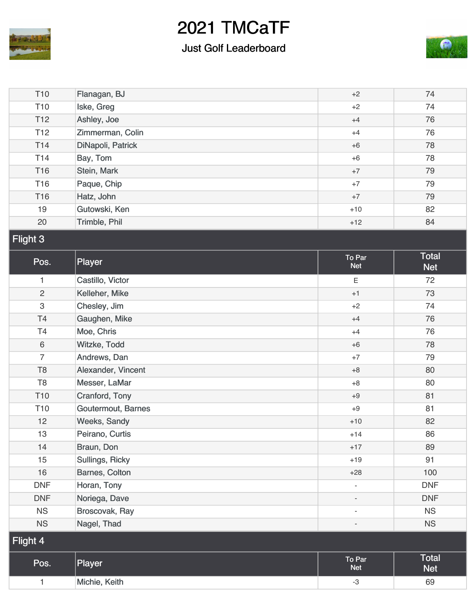

### Just Golf Leaderboard



| T <sub>10</sub> | Flanagan, BJ       | $+2$                     | 74                         |  |
|-----------------|--------------------|--------------------------|----------------------------|--|
| T <sub>10</sub> | Iske, Greg         | $+2$                     | 74                         |  |
| T <sub>12</sub> | Ashley, Joe        | $+4$                     | 76                         |  |
| T <sub>12</sub> | Zimmerman, Colin   | $+4$                     | 76                         |  |
| T14             | DiNapoli, Patrick  | $+6$                     | 78                         |  |
| T14             | Bay, Tom           | $+6$                     | 78                         |  |
| <b>T16</b>      | Stein, Mark        | $+7$                     | 79                         |  |
| <b>T16</b>      | Paque, Chip        | $+7$                     | 79                         |  |
| T16             | Hatz, John         | $+7$                     | 79                         |  |
| 19              | Gutowski, Ken      | $+10$                    | 82                         |  |
| 20              | Trimble, Phil      | $+12$                    | 84                         |  |
| Flight 3        |                    |                          |                            |  |
| Pos.            | Player             | To Par<br><b>Net</b>     | <b>Total</b><br><b>Net</b> |  |
| 1               | Castillo, Victor   | Ε                        | 72                         |  |
| $\overline{c}$  | Kelleher, Mike     | $+1$                     | 73                         |  |
| 3               | Chesley, Jim       | $+2$                     | 74                         |  |
| T4              | Gaughen, Mike      | $+4$                     | 76                         |  |
| T <sub>4</sub>  | Moe, Chris         | $+4$                     | 76                         |  |
| $\,6\,$         | Witzke, Todd       | $+6$                     | 78                         |  |
| $\overline{7}$  | Andrews, Dan       | $+7$                     | 79                         |  |
| T <sub>8</sub>  | Alexander, Vincent | $+8$                     | 80                         |  |
| T <sub>8</sub>  | Messer, LaMar      | $+8$                     | 80                         |  |
| T <sub>10</sub> | Cranford, Tony     | $+9$                     | 81                         |  |
| T <sub>10</sub> | Goutermout, Barnes | $+9$                     | 81                         |  |
| 12              | Weeks, Sandy       | $+10$                    | 82                         |  |
| 13              | Peirano, Curtis    | $+14$                    | 86                         |  |
| 14              | Braun, Don         | $+17$                    | 89                         |  |
| 15              | Sullings, Ricky    | $+19$                    | 91                         |  |
| 16              | Barnes, Colton     | $+28$                    | 100                        |  |
| <b>DNF</b>      | Horan, Tony        | $\overline{\phantom{a}}$ | <b>DNF</b>                 |  |
| <b>DNF</b>      | Noriega, Dave      |                          | <b>DNF</b>                 |  |
| <b>NS</b>       | Broscovak, Ray     | ä,                       | NS                         |  |
| <b>NS</b>       | Nagel, Thad        |                          | <b>NS</b>                  |  |
| Flight 4        |                    |                          |                            |  |
| Pos.            | Player             | To Par<br><b>Net</b>     | <b>Total</b><br><b>Net</b> |  |
| 1               | Michie, Keith      | $-3$                     | 69                         |  |
|                 |                    |                          |                            |  |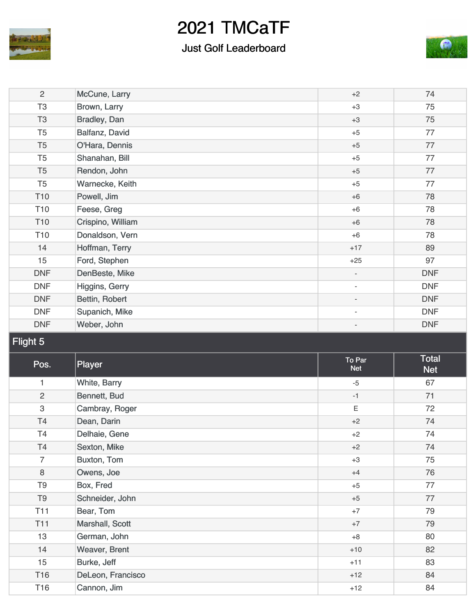

### Just Golf Leaderboard



| $\mathbf{2}$    | McCune, Larry     | $+2$                     | 74                  |
|-----------------|-------------------|--------------------------|---------------------|
| T <sub>3</sub>  | Brown, Larry      | $+3$                     | 75                  |
| T <sub>3</sub>  | Bradley, Dan      | $+3$                     | 75                  |
| T <sub>5</sub>  | Balfanz, David    | $+5$                     | 77                  |
| T <sub>5</sub>  | O'Hara, Dennis    | $+5$                     | 77                  |
| T <sub>5</sub>  | Shanahan, Bill    | $+5$                     | 77                  |
| T <sub>5</sub>  | Rendon, John      | $+5$                     | 77                  |
| T <sub>5</sub>  | Warnecke, Keith   | $+5$                     | 77                  |
| T <sub>10</sub> | Powell, Jim       | $+6$                     | 78                  |
| T <sub>10</sub> | Feese, Greg       | $+6$                     | 78                  |
| T <sub>10</sub> | Crispino, William | $+6$                     | 78                  |
| T <sub>10</sub> | Donaldson, Vern   | $+6$                     | 78                  |
| 14              | Hoffman, Terry    | $+17$                    | 89                  |
| 15              | Ford, Stephen     | $+25$                    | 97                  |
| <b>DNF</b>      | DenBeste, Mike    | $\overline{\phantom{a}}$ | <b>DNF</b>          |
| <b>DNF</b>      | Higgins, Gerry    | $\overline{\phantom{a}}$ | <b>DNF</b>          |
| <b>DNF</b>      | Bettin, Robert    |                          | <b>DNF</b>          |
| <b>DNF</b>      | Supanich, Mike    | $\overline{\phantom{a}}$ | <b>DNF</b>          |
| <b>DNF</b>      | Weber, John       |                          | <b>DNF</b>          |
|                 |                   |                          |                     |
| Flight 5        |                   |                          |                     |
| Pos.            | Player            | To Par<br><b>Net</b>     | Total<br><b>Net</b> |
| 1               | White, Barry      | $-5$                     | 67                  |
| $\overline{c}$  | Bennett, Bud      | $-1$                     | 71                  |
| 3               | Cambray, Roger    | Ε                        | 72                  |
| T <sub>4</sub>  | Dean, Darin       | $+2$                     | 74                  |
| T4              | Delhaie, Gene     | $+2$                     | 74                  |
| T4              | Sexton, Mike      | $+2$                     | 74                  |
| $\overline{7}$  | Buxton, Tom       | $+3$                     | 75                  |
| 8               | Owens, Joe        | $+4$                     | 76                  |
| T <sub>9</sub>  | Box, Fred         | $+5$                     | 77                  |
| T <sub>9</sub>  | Schneider, John   | $+5$                     | 77                  |
| <b>T11</b>      | Bear, Tom         | $+7$                     | 79                  |
| <b>T11</b>      | Marshall, Scott   | $+7$                     | 79                  |
| 13              | German, John      | $+8$                     | 80                  |
| 14              | Weaver, Brent     | $+10$                    | 82                  |
| 15              | Burke, Jeff       | $+11$                    | 83                  |
| T16             | DeLeon, Francisco | $+12$                    | 84                  |